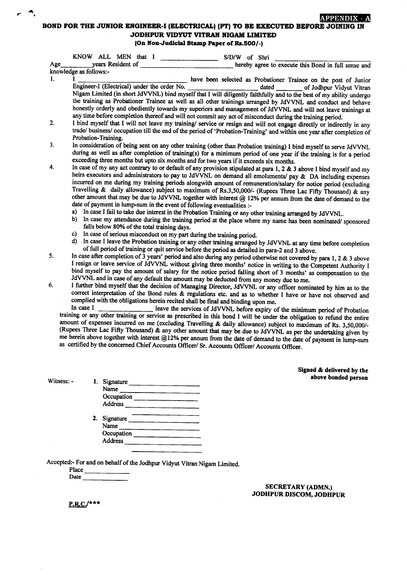## **APPENDIX** BOND FOR THE JUNIOR ENGINEER-I (ELECTRICAL) (PT) TO BE EXECUTED BEFORE JOINING IN JODHPUR VIDYUT VITRAN NIGAM LIMITED

(On Non-Judicial Stamp Paper of Rs.500/-)

|     | KNOW ALL MEN that I<br>S/D/W of Shri                                                                                                                                                                                                                                                                                                                                                                                                                                                                                                                                                                                                                                                                                                                                                                                                                                                                                                                                                                                                                                                                                                                                                                                                               |  |  |  |  |
|-----|----------------------------------------------------------------------------------------------------------------------------------------------------------------------------------------------------------------------------------------------------------------------------------------------------------------------------------------------------------------------------------------------------------------------------------------------------------------------------------------------------------------------------------------------------------------------------------------------------------------------------------------------------------------------------------------------------------------------------------------------------------------------------------------------------------------------------------------------------------------------------------------------------------------------------------------------------------------------------------------------------------------------------------------------------------------------------------------------------------------------------------------------------------------------------------------------------------------------------------------------------|--|--|--|--|
| Age | years Resident of Theory and Security and Security and Security and Security and Security and Security and Security and Security and Security and Security and Security and Security and Security and Security and Security an<br>hereby agree to execute this Bond in full sense and                                                                                                                                                                                                                                                                                                                                                                                                                                                                                                                                                                                                                                                                                                                                                                                                                                                                                                                                                              |  |  |  |  |
|     | knowledge as follows:-                                                                                                                                                                                                                                                                                                                                                                                                                                                                                                                                                                                                                                                                                                                                                                                                                                                                                                                                                                                                                                                                                                                                                                                                                             |  |  |  |  |
| 1.  | have been selected as Probationer Trainee on the post of Junior<br>Engineer-I (Electrical) under the order No.<br>dated of Jodhpur Vidyut Vitran<br>Nigam Limited (in short JdVVNL) bind myself that I will diligently faithfully and to the best of my ability undergo                                                                                                                                                                                                                                                                                                                                                                                                                                                                                                                                                                                                                                                                                                                                                                                                                                                                                                                                                                            |  |  |  |  |
|     | the training as Probationer Trainee as well as all other trainings arranged by JdVVNL and conduct and behave<br>honestly orderly and obediently towards my superiors and management of JdVVNL and will not leave trainings at<br>any time before completion thereof and will not commit any act of misconduct during the training period.                                                                                                                                                                                                                                                                                                                                                                                                                                                                                                                                                                                                                                                                                                                                                                                                                                                                                                          |  |  |  |  |
| 2.  | I bind myself that I will not leave my training/ service or resign and will not engage directly or indirectly in any<br>trade/ business/ occupation till the end of the period of 'Probation-Training' and within one year after completion of<br>Probation-Training.                                                                                                                                                                                                                                                                                                                                                                                                                                                                                                                                                                                                                                                                                                                                                                                                                                                                                                                                                                              |  |  |  |  |
| 3.  | In consideration of being sent on any other training (other than Probation training) I bind myself to serve JdVVNL<br>during as well as after completion of training(s) for a minimum period of one year if the training is for a period<br>exceeding three months but upto six months and for two years if it exceeds six months.                                                                                                                                                                                                                                                                                                                                                                                                                                                                                                                                                                                                                                                                                                                                                                                                                                                                                                                 |  |  |  |  |
| 4.  | In case of my any act contrary to or default of any provision stipulated at para 1, 2 $\&$ 3 above I bind myself and my<br>heirs executors and administrators to pay to JdVVNL on demand all emoluments/ pay & DA including expenses<br>incurred on me during my training periods alongwith amount of remuneration/salary for notice period (excluding<br>Travelling & daily allowance) subject to maximum of Rs.3,50,000/- (Rupees Three Lac Fifty Thousand) & any<br>other amount that may be due to JdVVNL together with interest @ 12% per annum from the date of demand to the<br>date of payment in lump-sum in the event of following eventualities :-<br>a) In case I fail to take due interest in the Probation Training or any other training arranged by JdVVNL.<br>b)<br>In case my attendance during the training period at the place where my name has been nominated/ sponsored<br>falls below 80% of the total training days.<br>c) In case of serious misconduct on my part during the training period.<br>d)<br>In case I leave the Probation training or any other training arranged by JdVVNL at any time before completion<br>of full period of training or quit service before the period as detailed in para-2 and 3 above. |  |  |  |  |
| 5.  | In case after completion of 3 years' period and also during any period otherwise not covered by para 1, 2 & 3 above<br>I resign or leave service of JdVVNL without giving three months' notice in writing to the Competent Authority I<br>bind myself to pay the amount of salary for the notice period falling short of 3 months' as compensation to the<br>JdVVNL and in case of any default the amount may be deducted from any money due to me.                                                                                                                                                                                                                                                                                                                                                                                                                                                                                                                                                                                                                                                                                                                                                                                                |  |  |  |  |
| 6.  | I further bind myself that the decision of Managing Director, JdVVNL or any officer nominated by him as to the<br>correct interpretation of the Bond rules & regulations etc. and as to whether I have or have not observed and<br>complied with the obligations herein recited shall be final and binding upon me.<br>In case I                                                                                                                                                                                                                                                                                                                                                                                                                                                                                                                                                                                                                                                                                                                                                                                                                                                                                                                   |  |  |  |  |
|     | leave the services of JdVVNL before expiry of the minimum period of Probation<br>training or any other training or service as prescribed in this bond I will be under the obligation to refund the entire<br>amount of expenses incurred on me (excluding Travelling & daily allowance) subject to maximum of Rs. 3,50,000/-<br>$(R$ unees Three I as $F1$ fty Thousand) & any other concern that we in the state of                                                                                                                                                                                                                                                                                                                                                                                                                                                                                                                                                                                                                                                                                                                                                                                                                               |  |  |  |  |

(Rupees Three Lac Fifty Thousand)  $\&$  any other amount that may be due to JdVVNL as per the undertaking given by me herein above together with interest @12% per annum from the date of demand to the date of payment in lump-sum as certified by the concerned Chief Accounts Officer/ Sr. Accounts Officer/ Accounts Officer.

Signed & delivered by the

Accepted:- For and on behalf of the Jodhpur Vidyut Vitran Nigam Limited.

Occupation Address 2. Signature

 $Witness: - 1.$  Signature Name

> Name **Occupation** Address<sub>\_\_\_\_</sub>

Place Date

 $\mathbf{r}$  ,  $\mathbf{r}$ 

SECRETARY (ADMN.) JODHPUR DISCOM, JODHPUR

 $P.R.C.$ /\*\*\*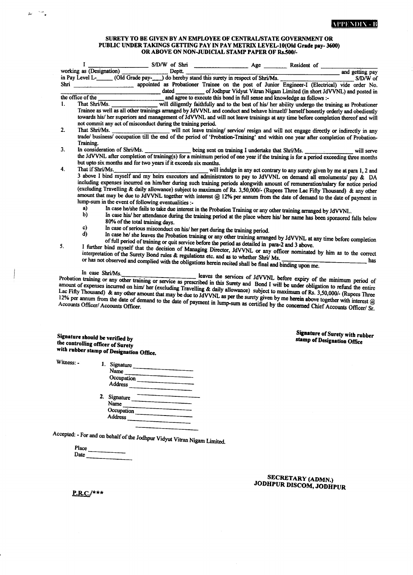## SURETY TO BE GIVEN BY AN EMPLOYEE OF CENTRAL/STATE GOVERNMENT OR PUBLIC UNDER TAKINGS GETTING PAY IN PAY METRIX LEVEL-10(Old Grade pay- 3600) ORABOVE ON NONJITDICIAL STAMP PAPER OF Rs.500/-

|                                                                      | $\bf{I}$                                            |                                                                                                          |                                                                          |                                                                                                                                                                                                                                                           |
|----------------------------------------------------------------------|-----------------------------------------------------|----------------------------------------------------------------------------------------------------------|--------------------------------------------------------------------------|-----------------------------------------------------------------------------------------------------------------------------------------------------------------------------------------------------------------------------------------------------------|
|                                                                      |                                                     |                                                                                                          |                                                                          |                                                                                                                                                                                                                                                           |
|                                                                      |                                                     |                                                                                                          |                                                                          |                                                                                                                                                                                                                                                           |
|                                                                      |                                                     | dated                                                                                                    |                                                                          | of Jodhpur Vidyut Vitran Nigam Limited (in short JdVVNL) and posted in                                                                                                                                                                                    |
|                                                                      | the office of the                                   |                                                                                                          | and agree to execute this bond in full sense and knowledge as follows :- |                                                                                                                                                                                                                                                           |
| 1.                                                                   | That Shri/Ms.                                       |                                                                                                          |                                                                          | will diligently faithfully and to the best of his/ her ability undergo the training as Probationer                                                                                                                                                        |
|                                                                      |                                                     |                                                                                                          |                                                                          | Trainee as well as all other trainings arranged by JdVVNL and conduct and behave himself/ herself honestly orderly and obediently                                                                                                                         |
|                                                                      |                                                     |                                                                                                          |                                                                          | towards his/ her superiors and management of JdVVNL and will not leave trainings at any time before completion thereof and will                                                                                                                           |
|                                                                      |                                                     | not commit any act of misconduct during the training period.                                             |                                                                          |                                                                                                                                                                                                                                                           |
| 2.                                                                   | That Shri/Ms.                                       |                                                                                                          |                                                                          | will not leave training/ service/ resign and will not engage directly or indirectly in any                                                                                                                                                                |
|                                                                      |                                                     |                                                                                                          |                                                                          | trade/ business/ occupation till the end of the period of 'Probation-Training' and within one year after completion of Probation-                                                                                                                         |
|                                                                      | Training.                                           |                                                                                                          |                                                                          |                                                                                                                                                                                                                                                           |
| 3.                                                                   |                                                     |                                                                                                          |                                                                          | In consideration of Shri/Ms. _______________ being sent on training I undertake that Shri/Ms. ________________<br>will serve                                                                                                                              |
|                                                                      |                                                     |                                                                                                          |                                                                          | the JdVVNL after completion of training(s) for a minimum period of one year if the training is for a period exceeding three months                                                                                                                        |
|                                                                      |                                                     | but upto six months and for two years if it exceeds six months.                                          |                                                                          |                                                                                                                                                                                                                                                           |
| 4.                                                                   | That if Shri/Ms.                                    |                                                                                                          |                                                                          | will indulge in any act contrary to any surety given by me at para 1, 2 and                                                                                                                                                                               |
|                                                                      |                                                     |                                                                                                          |                                                                          | 3 above I bind myself and my heirs executors and administrators to pay to JdVVNL on demand all emoluments/ pay & DA                                                                                                                                       |
|                                                                      |                                                     |                                                                                                          |                                                                          | including expenses incurred on him/her during such training periods alongwith amount of remuneration/salary for notice period                                                                                                                             |
|                                                                      |                                                     |                                                                                                          |                                                                          | (excluding Travelling & daily allowance) subject to maximum of Rs. 3,50,000/- (Rupees Three Lac Fifty Thousand) & any other                                                                                                                               |
|                                                                      |                                                     |                                                                                                          |                                                                          | amount that may be due to JdVVNL together with interest @ 12% per annum from the date of demand to the date of payment in                                                                                                                                 |
|                                                                      | lump-sum in the event of following eventualities :- |                                                                                                          |                                                                          |                                                                                                                                                                                                                                                           |
|                                                                      | a)                                                  |                                                                                                          |                                                                          | In case he/she fails to take due interest in the Probation Training or any other training arranged by JdVVNL.                                                                                                                                             |
|                                                                      | $\mathbf{b}$<br>80% of the total training days.     |                                                                                                          |                                                                          | In case his/ her attendance during the training period at the place where his/ her name has been sponsored falls below                                                                                                                                    |
|                                                                      | c)                                                  | In case of serious misconduct on his/ her part during the training period.                               |                                                                          |                                                                                                                                                                                                                                                           |
|                                                                      | d)                                                  |                                                                                                          |                                                                          | In case he/ she leaves the Probation training or any other training arranged by JdVVNL at any time before completion                                                                                                                                      |
| 5.                                                                   |                                                     | of full period of training or quit service before the period as detailed in para-2 and 3 above.          |                                                                          |                                                                                                                                                                                                                                                           |
|                                                                      |                                                     |                                                                                                          |                                                                          | I further bind myself that the decision of Managing Director, JdVVNL or any officer nominated by him as to the correct                                                                                                                                    |
|                                                                      |                                                     |                                                                                                          |                                                                          | interpretation of the Surety Bond rules & regulations etc. and as to whether Shri/ Ms.<br>has                                                                                                                                                             |
|                                                                      |                                                     | or has not observed and complied with the obligations herein recited shall be final and binding upon me. |                                                                          |                                                                                                                                                                                                                                                           |
|                                                                      |                                                     |                                                                                                          |                                                                          |                                                                                                                                                                                                                                                           |
|                                                                      |                                                     |                                                                                                          |                                                                          | In case Shri/Ms.<br>In case Shri/Ms.<br>Probation training or any other training or service as prescribed in this Surety and Bond I will be under obligation to refund the entire<br>leaves the services of JdVVNL before expiry of the minimum period of |
|                                                                      |                                                     |                                                                                                          |                                                                          | amount of expenses incurred on him/ her (excluding Travelling & daily allowance) subject to maximum of Rs. 3,50,000/- (Rupees Three                                                                                                                       |
|                                                                      |                                                     |                                                                                                          |                                                                          | Lac Fifty Thousand) & any other amount that may be due to JdVVNL as per the surety given by me herein above together with interest @                                                                                                                      |
|                                                                      |                                                     |                                                                                                          |                                                                          | 12% per annum from the date of demand to the date of payment in lump-sum as certified by the concerned Chief Accounts Officer/ Sr.                                                                                                                        |
|                                                                      |                                                     |                                                                                                          |                                                                          |                                                                                                                                                                                                                                                           |
|                                                                      |                                                     |                                                                                                          |                                                                          |                                                                                                                                                                                                                                                           |
|                                                                      |                                                     |                                                                                                          |                                                                          | Signature of Surety with rubber                                                                                                                                                                                                                           |
| Signature should be verified by<br>the controlling officer of Surety |                                                     |                                                                                                          |                                                                          | stamp of Designation Office                                                                                                                                                                                                                               |
|                                                                      |                                                     |                                                                                                          |                                                                          |                                                                                                                                                                                                                                                           |
|                                                                      | with rubber stamp of Designation Office.            |                                                                                                          |                                                                          |                                                                                                                                                                                                                                                           |
|                                                                      |                                                     |                                                                                                          |                                                                          |                                                                                                                                                                                                                                                           |

Witness: -

باست البلغ

| 1. Signature   |  |
|----------------|--|
| Name           |  |
| Occupation     |  |
| Address        |  |
| 2. Signature   |  |
| Name           |  |
| Occupation     |  |
| <b>Address</b> |  |
|                |  |

Accepted: - For and on behalf of the Jodhpur Vidyut Vitran Nigam Limited.

Place  $Date$ <sub> $\overline{\phantom{0}}$ </sub> 22 T

SECRETARY (ADMN.)<br>JODHPUR DISCOM, JODHPUR

P.RC./\*\*\*